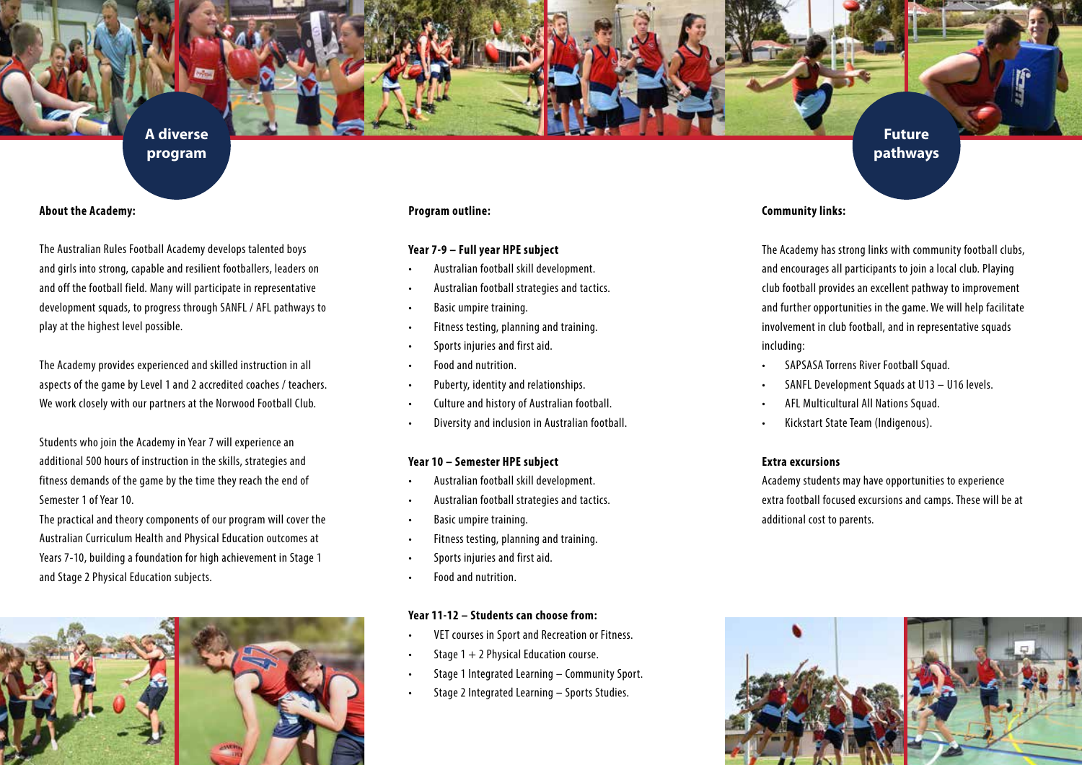**A diverse program**

## **About the Academy:**

The Australian Rules Football Academy develops talented boys and girls into strong, capable and resilient footballers, leaders on and off the football field. Many will participate in representative development squads, to progress through SANFL / AFL pathways to play at the highest level possible.

The Academy provides experienced and skilled instruction in all aspects of the game by Level 1 and 2 accredited coaches / teachers. We work closely with our partners at the Norwood Football Club.

Students who join the Academy in Year 7 will experience an additional 500 hours of instruction in the skills, strategies and fitness demands of the game by the time they reach the end of Semester 1 of Year 10.

The practical and theory components of our program will cover the Australian Curriculum Health and Physical Education outcomes at Years 7-10, building a foundation for high achievement in Stage 1 and Stage 2 Physical Education subjects.



#### **Program outline:**

## **Year 7-9 – Full year HPE subject**

- • Australian football skill development.
- Australian football strategies and tactics.
- Basic umpire training.
- Fitness testing, planning and training.
- Sports injuries and first aid.
- Food and nutrition.
- • Puberty, identity and relationships.
- • Culture and history of Australian football.
- Diversity and inclusion in Australian football.

#### **Year 10 – Semester HPE subject**

- Australian football skill development.
- Australian football strategies and tactics.
- Basic umpire training.
- • Fitness testing, planning and training.
- Sports injuries and first aid.
- Food and nutrition.

## **Year 11-12 – Students can choose from:**

- VET courses in Sport and Recreation or Fitness.
- Stage  $1 + 2$  Physical Education course.
- Stage 1 Integrated Learning Community Sport.
- Stage 2 Integrated Learning Sports Studies.

## **Community links:**

The Academy has strong links with community football clubs, and encourages all participants to join a local club. Playing club football provides an excellent pathway to improvement and further opportunities in the game. We will help facilitate involvement in club football, and in representative squads including:

**Future pathways**

- SAPSASA Torrens River Football Squad.
- SANFL Development Squads at  $U13 U16$  levels.
- AFL Multicultural All Nations Squad.
- Kickstart State Team (Indigenous).

#### **Extra excursions**

Academy students may have opportunities to experience extra football focused excursions and camps. These will be at additional cost to parents.